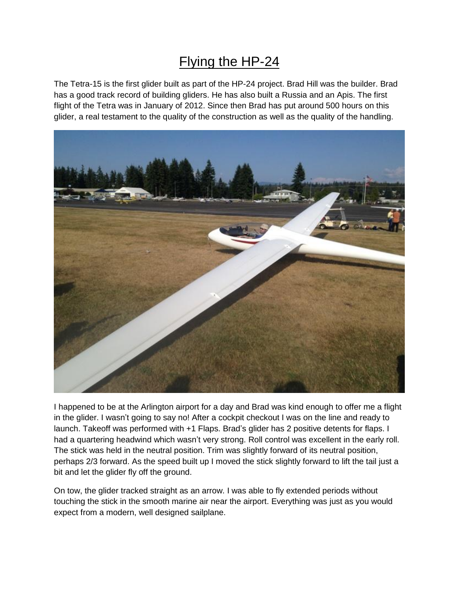## Flying the HP-24

The Tetra-15 is the first glider built as part of the HP-24 project. Brad Hill was the builder. Brad has a good track record of building gliders. He has also built a Russia and an Apis. The first flight of the Tetra was in January of 2012. Since then Brad has put around 500 hours on this glider, a real testament to the quality of the construction as well as the quality of the handling.



I happened to be at the Arlington airport for a day and Brad was kind enough to offer me a flight in the glider. I wasn't going to say no! After a cockpit checkout I was on the line and ready to launch. Takeoff was performed with +1 Flaps. Brad's glider has 2 positive detents for flaps. I had a quartering headwind which wasn't very strong. Roll control was excellent in the early roll. The stick was held in the neutral position. Trim was slightly forward of its neutral position, perhaps 2/3 forward. As the speed built up I moved the stick slightly forward to lift the tail just a bit and let the glider fly off the ground.

On tow, the glider tracked straight as an arrow. I was able to fly extended periods without touching the stick in the smooth marine air near the airport. Everything was just as you would expect from a modern, well designed sailplane.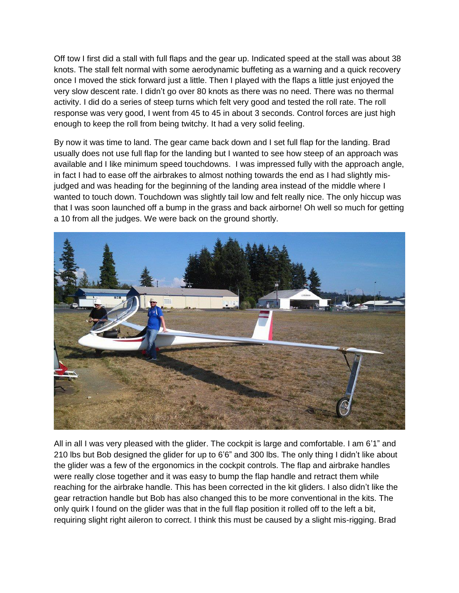Off tow I first did a stall with full flaps and the gear up. Indicated speed at the stall was about 38 knots. The stall felt normal with some aerodynamic buffeting as a warning and a quick recovery once I moved the stick forward just a little. Then I played with the flaps a little just enjoyed the very slow descent rate. I didn't go over 80 knots as there was no need. There was no thermal activity. I did do a series of steep turns which felt very good and tested the roll rate. The roll response was very good, I went from 45 to 45 in about 3 seconds. Control forces are just high enough to keep the roll from being twitchy. It had a very solid feeling.

By now it was time to land. The gear came back down and I set full flap for the landing. Brad usually does not use full flap for the landing but I wanted to see how steep of an approach was available and I like minimum speed touchdowns. I was impressed fully with the approach angle, in fact I had to ease off the airbrakes to almost nothing towards the end as I had slightly misjudged and was heading for the beginning of the landing area instead of the middle where I wanted to touch down. Touchdown was slightly tail low and felt really nice. The only hiccup was that I was soon launched off a bump in the grass and back airborne! Oh well so much for getting a 10 from all the judges. We were back on the ground shortly.



All in all I was very pleased with the glider. The cockpit is large and comfortable. I am 6'1" and 210 lbs but Bob designed the glider for up to 6'6" and 300 lbs. The only thing I didn't like about the glider was a few of the ergonomics in the cockpit controls. The flap and airbrake handles were really close together and it was easy to bump the flap handle and retract them while reaching for the airbrake handle. This has been corrected in the kit gliders. I also didn't like the gear retraction handle but Bob has also changed this to be more conventional in the kits. The only quirk I found on the glider was that in the full flap position it rolled off to the left a bit, requiring slight right aileron to correct. I think this must be caused by a slight mis-rigging. Brad